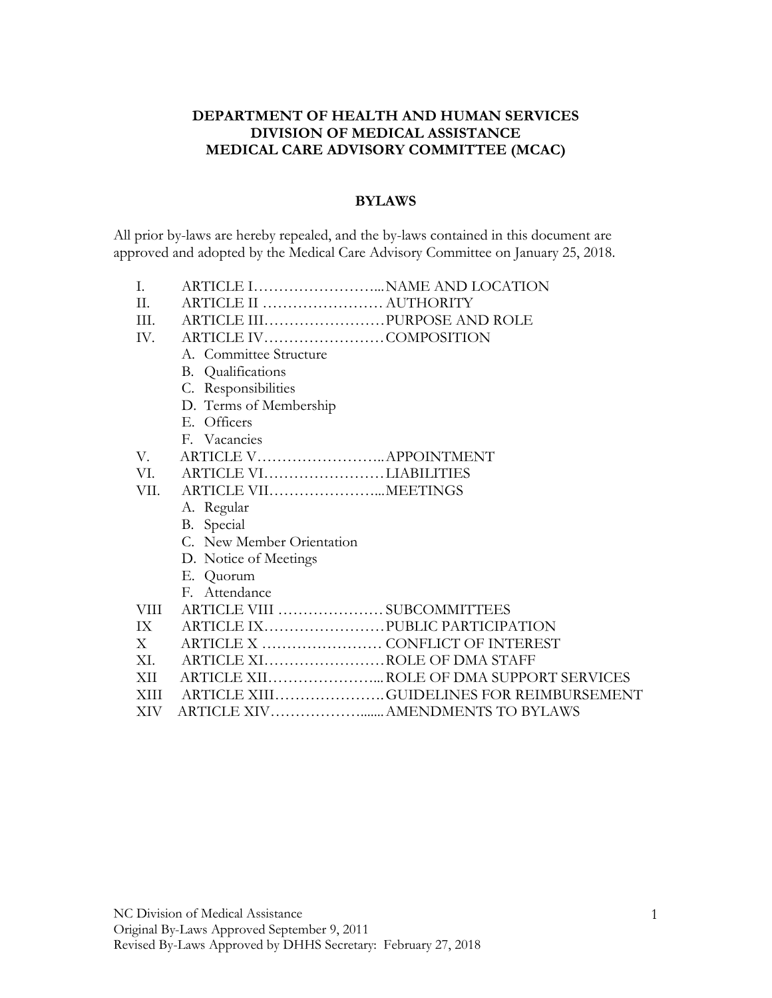# **DEPARTMENT OF HEALTH AND HUMAN SERVICES DIVISION OF MEDICAL ASSISTANCE MEDICAL CARE ADVISORY COMMITTEE (MCAC)**

#### **BYLAWS**

All prior by-laws are hereby repealed, and the by-laws contained in this document are approved and adopted by the Medical Care Advisory Committee on January 25, 2018.

- I. ARTICLE I……………………...NAME AND LOCATION
- II. ARTICLE II ……………………AUTHORITY
- III. ARTICLE III……………………PURPOSE AND ROLE
- IV. ARTICLE IV……………………COMPOSITION
	- A. Committee Structure
	- B. Qualifications
	- C. Responsibilities
	- D. Terms of Membership
	- E. Officers
	- F. Vacancies
- V. ARTICLE V……………………..APPOINTMENT
- VI. ARTICLE VI……………………LIABILITIES
- VII. ARTICLE VII…………………...MEETINGS
	- A. Regular
		- B. Special
		- C. New Member Orientation
		- D. Notice of Meetings
		- E. Quorum
		- F. Attendance
- VIII ARTICLE VIII …………………SUBCOMMITTEES
- IX ARTICLE IX……………………PUBLIC PARTICIPATION
- X ARTICLE X …………………… CONFLICT OF INTEREST
- XI. ARTICLE XI……………………ROLE OF DMA STAFF
- XII ARTICLE XII…………………...ROLE OF DMA SUPPORT SERVICES
- XIII ARTICLE XIII………………….GUIDELINES FOR REIMBURSEMENT
- XIV ARTICLE XIV……………….......AMENDMENTS TO BYLAWS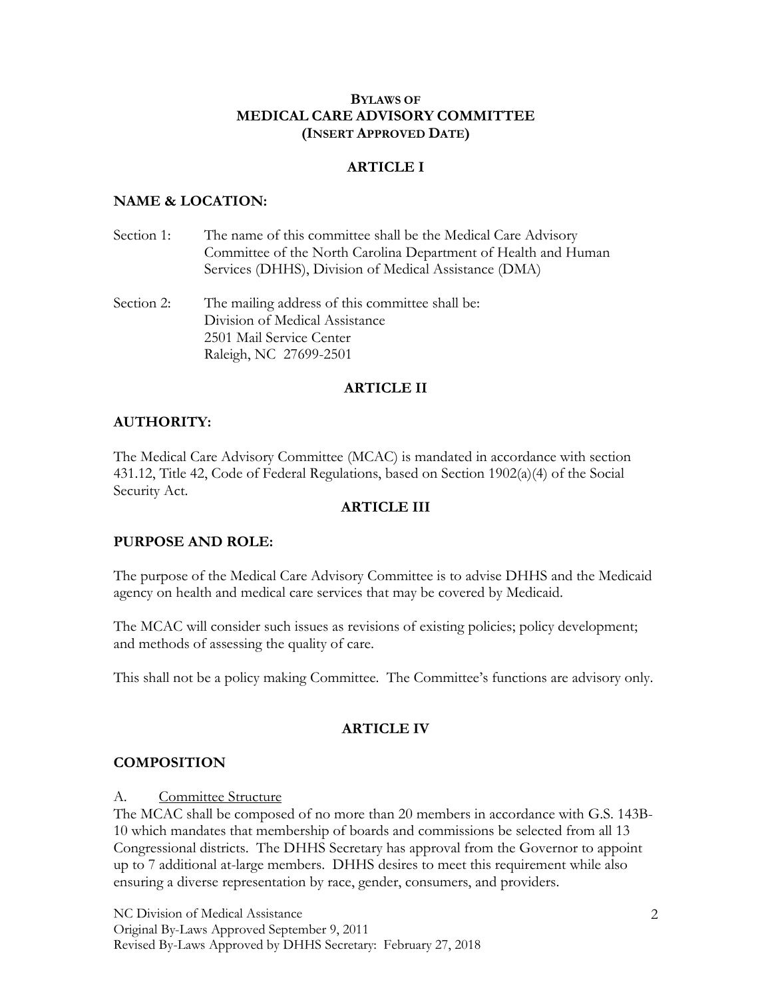#### **BYLAWS OF MEDICAL CARE ADVISORY COMMITTEE (INSERT APPROVED DATE)**

## **ARTICLE I**

# **NAME & LOCATION:**

| Section 1: | The name of this committee shall be the Medical Care Advisory<br>Committee of the North Carolina Department of Health and Human |
|------------|---------------------------------------------------------------------------------------------------------------------------------|
|            | Services (DHHS), Division of Medical Assistance (DMA)                                                                           |
| Section 2: | The mailing address of this committee shall be:<br>Division of Medical Assistance<br>2501 Mail Service Center                   |
|            | Raleigh, NC 27699-2501                                                                                                          |

### **ARTICLE II**

# **AUTHORITY:**

The Medical Care Advisory Committee (MCAC) is mandated in accordance with section 431.12, Title 42, Code of Federal Regulations, based on Section 1902(a)(4) of the Social Security Act.

#### **ARTICLE III**

### **PURPOSE AND ROLE:**

The purpose of the Medical Care Advisory Committee is to advise DHHS and the Medicaid agency on health and medical care services that may be covered by Medicaid.

The MCAC will consider such issues as revisions of existing policies; policy development; and methods of assessing the quality of care.

This shall not be a policy making Committee. The Committee's functions are advisory only.

### **ARTICLE IV**

### **COMPOSITION**

#### A. Committee Structure

The MCAC shall be composed of no more than 20 members in accordance with G.S. 143B-10 which mandates that membership of boards and commissions be selected from all 13 Congressional districts. The DHHS Secretary has approval from the Governor to appoint up to 7 additional at-large members. DHHS desires to meet this requirement while also ensuring a diverse representation by race, gender, consumers, and providers.

NC Division of Medical Assistance Original By-Laws Approved September 9, 2011 Revised By-Laws Approved by DHHS Secretary: February 27, 2018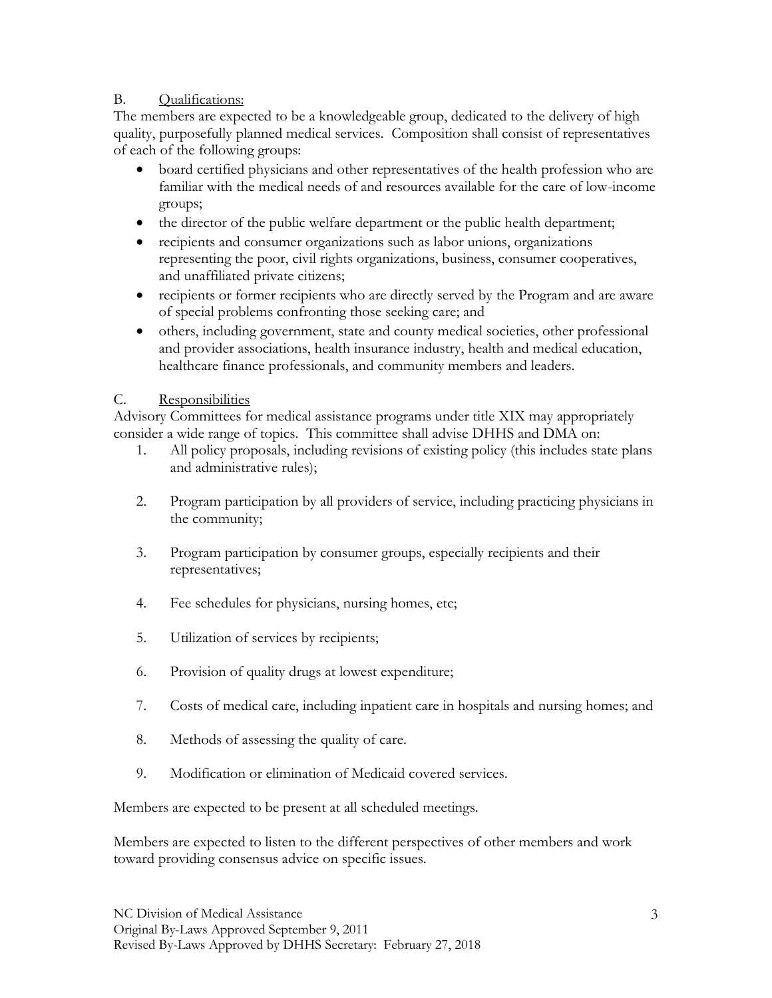# B. Qualifications:

The members are expected to be a knowledgeable group, dedicated to the delivery of high quality, purposefully planned medical services. Composition shall consist of representatives of each of the following groups:

- board certified physicians and other representatives of the health profession who are familiar with the medical needs of and resources available for the care of low-income groups;
- the director of the public welfare department or the public health department;
- recipients and consumer organizations such as labor unions, organizations representing the poor, civil rights organizations, business, consumer cooperatives, and unaffiliated private citizens;
- recipients or former recipients who are directly served by the Program and are aware of special problems confronting those seeking care; and
- others, including government, state and county medical societies, other professional and provider associations, health insurance industry, health and medical education, healthcare finance professionals, and community members and leaders.

# C. Responsibilities

Advisory Committees for medical assistance programs under title XIX may appropriately consider a wide range of topics. This committee shall advise DHHS and DMA on:

- 1. All policy proposals, including revisions of existing policy (this includes state plans and administrative rules);
- 2. Program participation by all providers of service, including practicing physicians in the community;
- 3. Program participation by consumer groups, especially recipients and their representatives;
- 4. Fee schedules for physicians, nursing homes, etc;
- 5. Utilization of services by recipients;
- 6. Provision of quality drugs at lowest expenditure;
- 7. Costs of medical care, including inpatient care in hospitals and nursing homes; and
- 8. Methods of assessing the quality of care.
- 9. Modification or elimination of Medicaid covered services.

Members are expected to be present at all scheduled meetings.

Members are expected to listen to the different perspectives of other members and work toward providing consensus advice on specific issues.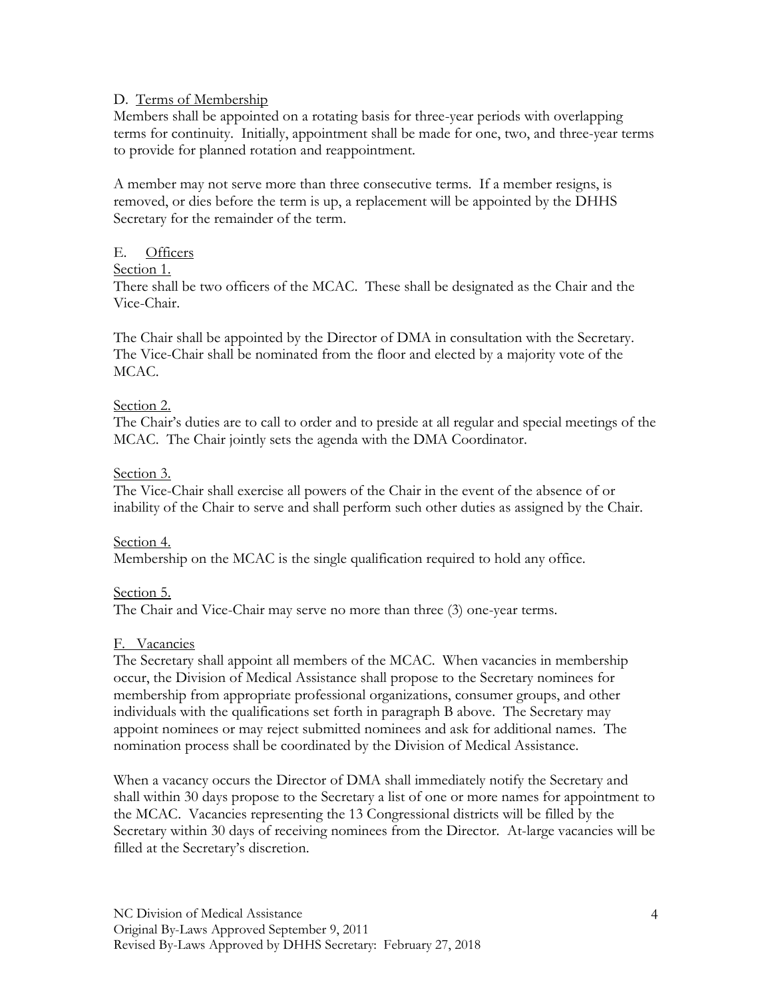## D. Terms of Membership

Members shall be appointed on a rotating basis for three-year periods with overlapping terms for continuity. Initially, appointment shall be made for one, two, and three-year terms to provide for planned rotation and reappointment.

A member may not serve more than three consecutive terms. If a member resigns, is removed, or dies before the term is up, a replacement will be appointed by the DHHS Secretary for the remainder of the term.

# E. Officers

### Section 1.

There shall be two officers of the MCAC. These shall be designated as the Chair and the Vice-Chair.

The Chair shall be appointed by the Director of DMA in consultation with the Secretary. The Vice-Chair shall be nominated from the floor and elected by a majority vote of the MCAC.

### Section 2.

The Chair's duties are to call to order and to preside at all regular and special meetings of the MCAC. The Chair jointly sets the agenda with the DMA Coordinator.

### Section 3.

The Vice-Chair shall exercise all powers of the Chair in the event of the absence of or inability of the Chair to serve and shall perform such other duties as assigned by the Chair.

# Section 4.

Membership on the MCAC is the single qualification required to hold any office.

### Section 5.

The Chair and Vice-Chair may serve no more than three (3) one-year terms.

### F. Vacancies

The Secretary shall appoint all members of the MCAC. When vacancies in membership occur, the Division of Medical Assistance shall propose to the Secretary nominees for membership from appropriate professional organizations, consumer groups, and other individuals with the qualifications set forth in paragraph B above. The Secretary may appoint nominees or may reject submitted nominees and ask for additional names. The nomination process shall be coordinated by the Division of Medical Assistance.

When a vacancy occurs the Director of DMA shall immediately notify the Secretary and shall within 30 days propose to the Secretary a list of one or more names for appointment to the MCAC. Vacancies representing the 13 Congressional districts will be filled by the Secretary within 30 days of receiving nominees from the Director. At-large vacancies will be filled at the Secretary's discretion.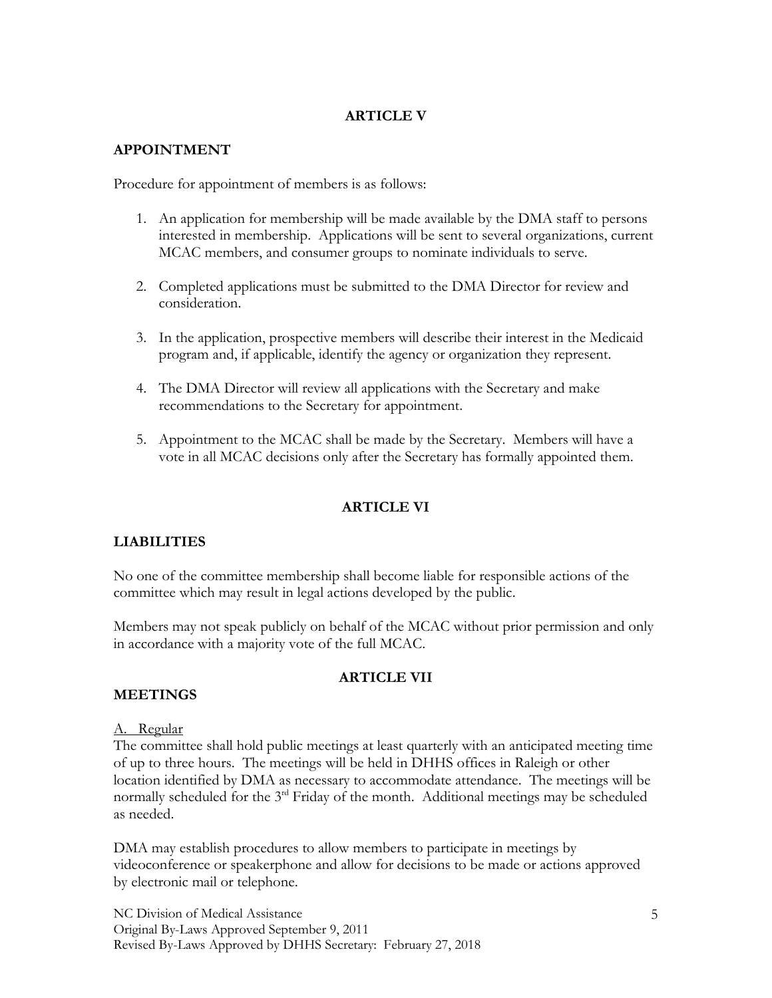# **ARTICLE V**

## **APPOINTMENT**

Procedure for appointment of members is as follows:

- 1. An application for membership will be made available by the DMA staff to persons interested in membership. Applications will be sent to several organizations, current MCAC members, and consumer groups to nominate individuals to serve.
- 2. Completed applications must be submitted to the DMA Director for review and consideration.
- 3. In the application, prospective members will describe their interest in the Medicaid program and, if applicable, identify the agency or organization they represent.
- 4. The DMA Director will review all applications with the Secretary and make recommendations to the Secretary for appointment.
- 5. Appointment to the MCAC shall be made by the Secretary. Members will have a vote in all MCAC decisions only after the Secretary has formally appointed them.

# **ARTICLE VI**

### **LIABILITIES**

No one of the committee membership shall become liable for responsible actions of the committee which may result in legal actions developed by the public.

Members may not speak publicly on behalf of the MCAC without prior permission and only in accordance with a majority vote of the full MCAC.

### **MEETINGS**

### **ARTICLE VII**

### A. Regular

The committee shall hold public meetings at least quarterly with an anticipated meeting time of up to three hours. The meetings will be held in DHHS offices in Raleigh or other location identified by DMA as necessary to accommodate attendance. The meetings will be normally scheduled for the 3rd Friday of the month. Additional meetings may be scheduled as needed.

DMA may establish procedures to allow members to participate in meetings by videoconference or speakerphone and allow for decisions to be made or actions approved by electronic mail or telephone.

NC Division of Medical Assistance Original By-Laws Approved September 9, 2011 Revised By-Laws Approved by DHHS Secretary: February 27, 2018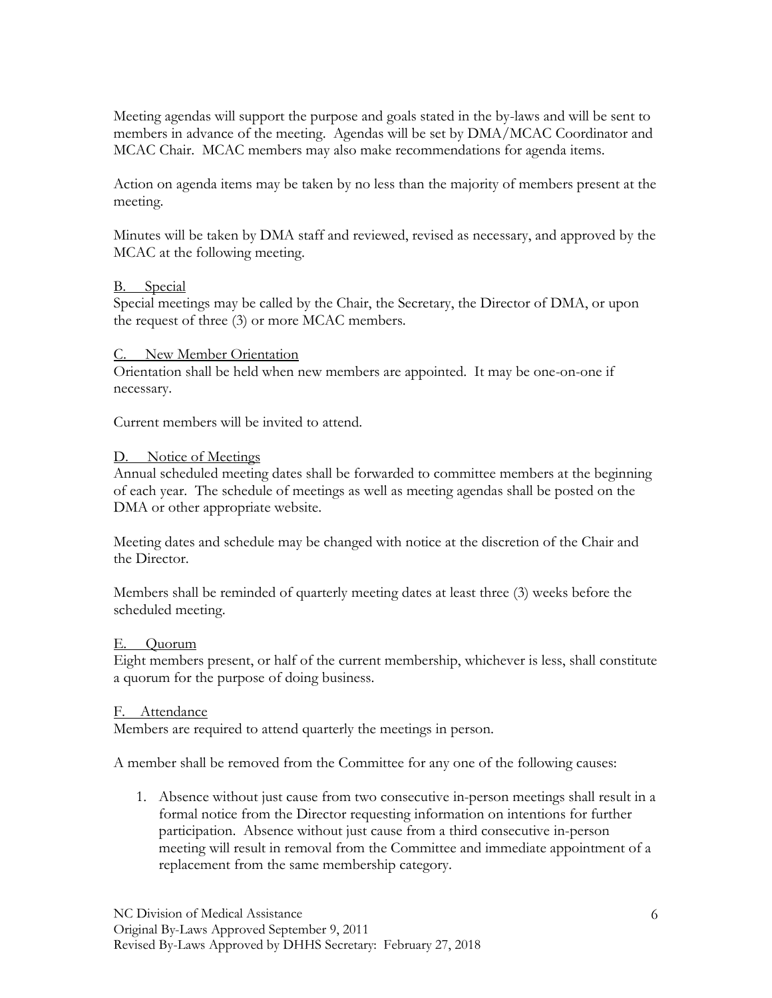Meeting agendas will support the purpose and goals stated in the by-laws and will be sent to members in advance of the meeting. Agendas will be set by DMA/MCAC Coordinator and MCAC Chair. MCAC members may also make recommendations for agenda items.

Action on agenda items may be taken by no less than the majority of members present at the meeting.

Minutes will be taken by DMA staff and reviewed, revised as necessary, and approved by the MCAC at the following meeting.

#### B. Special

Special meetings may be called by the Chair, the Secretary, the Director of DMA, or upon the request of three (3) or more MCAC members.

#### C. New Member Orientation

Orientation shall be held when new members are appointed. It may be one-on-one if necessary.

Current members will be invited to attend.

#### D. Notice of Meetings

Annual scheduled meeting dates shall be forwarded to committee members at the beginning of each year. The schedule of meetings as well as meeting agendas shall be posted on the DMA or other appropriate website.

Meeting dates and schedule may be changed with notice at the discretion of the Chair and the Director.

Members shall be reminded of quarterly meeting dates at least three (3) weeks before the scheduled meeting.

#### E. Quorum

Eight members present, or half of the current membership, whichever is less, shall constitute a quorum for the purpose of doing business.

#### F. Attendance

Members are required to attend quarterly the meetings in person.

A member shall be removed from the Committee for any one of the following causes:

1. Absence without just cause from two consecutive in-person meetings shall result in a formal notice from the Director requesting information on intentions for further participation. Absence without just cause from a third consecutive in-person meeting will result in removal from the Committee and immediate appointment of a replacement from the same membership category.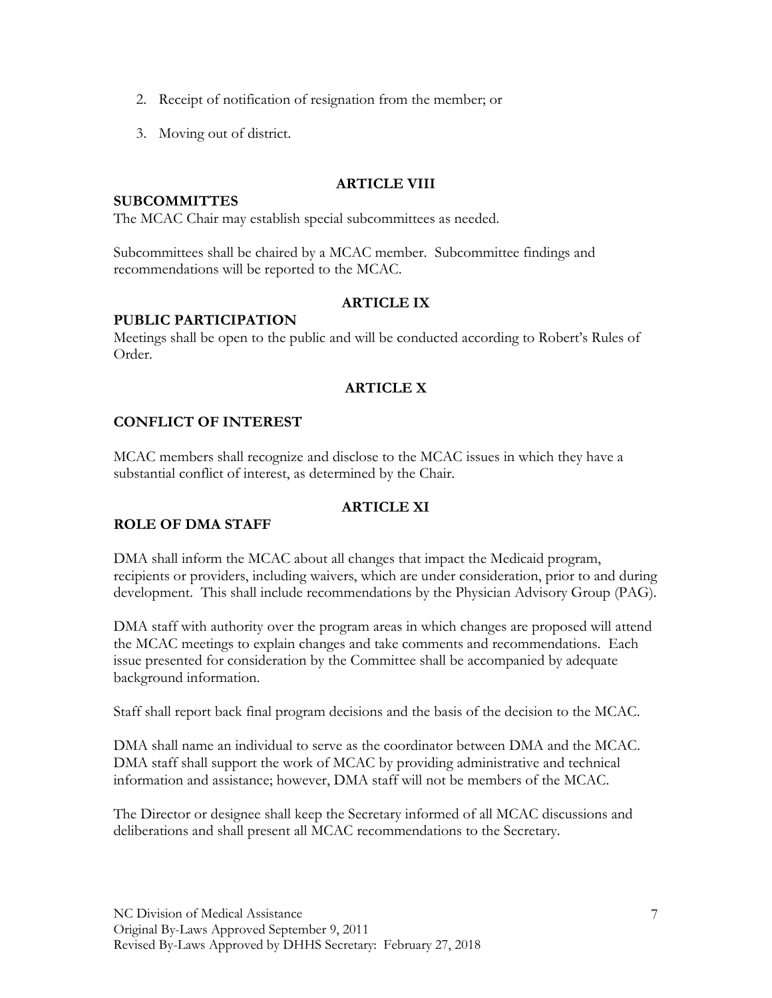- 2. Receipt of notification of resignation from the member; or
- 3. Moving out of district.

#### **ARTICLE VIII**

#### **SUBCOMMITTES**

The MCAC Chair may establish special subcommittees as needed.

Subcommittees shall be chaired by a MCAC member. Subcommittee findings and recommendations will be reported to the MCAC.

#### **ARTICLE IX**

#### **PUBLIC PARTICIPATION**

Meetings shall be open to the public and will be conducted according to Robert's Rules of Order.

# **ARTICLE X**

### **CONFLICT OF INTEREST**

MCAC members shall recognize and disclose to the MCAC issues in which they have a substantial conflict of interest, as determined by the Chair.

### **ARTICLE XI**

### **ROLE OF DMA STAFF**

DMA shall inform the MCAC about all changes that impact the Medicaid program, recipients or providers, including waivers, which are under consideration, prior to and during development. This shall include recommendations by the Physician Advisory Group (PAG).

DMA staff with authority over the program areas in which changes are proposed will attend the MCAC meetings to explain changes and take comments and recommendations. Each issue presented for consideration by the Committee shall be accompanied by adequate background information.

Staff shall report back final program decisions and the basis of the decision to the MCAC.

DMA shall name an individual to serve as the coordinator between DMA and the MCAC. DMA staff shall support the work of MCAC by providing administrative and technical information and assistance; however, DMA staff will not be members of the MCAC.

The Director or designee shall keep the Secretary informed of all MCAC discussions and deliberations and shall present all MCAC recommendations to the Secretary.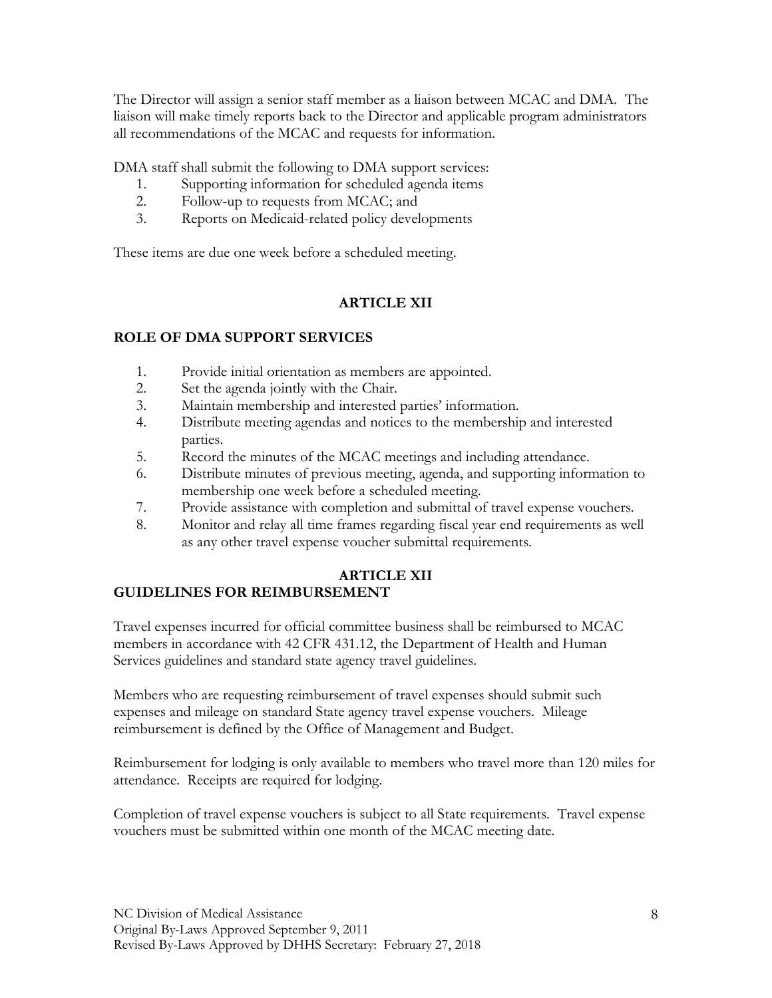The Director will assign a senior staff member as a liaison between MCAC and DMA. The liaison will make timely reports back to the Director and applicable program administrators all recommendations of the MCAC and requests for information.

DMA staff shall submit the following to DMA support services:

- 1. Supporting information for scheduled agenda items
- 2. Follow-up to requests from MCAC; and
- 3. Reports on Medicaid-related policy developments

These items are due one week before a scheduled meeting.

# **ARTICLE XII**

# **ROLE OF DMA SUPPORT SERVICES**

- 1. Provide initial orientation as members are appointed.
- 2. Set the agenda jointly with the Chair.
- 3. Maintain membership and interested parties' information.
- 4. Distribute meeting agendas and notices to the membership and interested parties.
- 5. Record the minutes of the MCAC meetings and including attendance.
- 6. Distribute minutes of previous meeting, agenda, and supporting information to membership one week before a scheduled meeting.
- 7. Provide assistance with completion and submittal of travel expense vouchers.
- 8. Monitor and relay all time frames regarding fiscal year end requirements as well as any other travel expense voucher submittal requirements.

# **ARTICLE XII**

# **GUIDELINES FOR REIMBURSEMENT**

Travel expenses incurred for official committee business shall be reimbursed to MCAC members in accordance with 42 CFR 431.12, the Department of Health and Human Services guidelines and standard state agency travel guidelines.

Members who are requesting reimbursement of travel expenses should submit such expenses and mileage on standard State agency travel expense vouchers. Mileage reimbursement is defined by the Office of Management and Budget.

Reimbursement for lodging is only available to members who travel more than 120 miles for attendance. Receipts are required for lodging.

Completion of travel expense vouchers is subject to all State requirements. Travel expense vouchers must be submitted within one month of the MCAC meeting date.